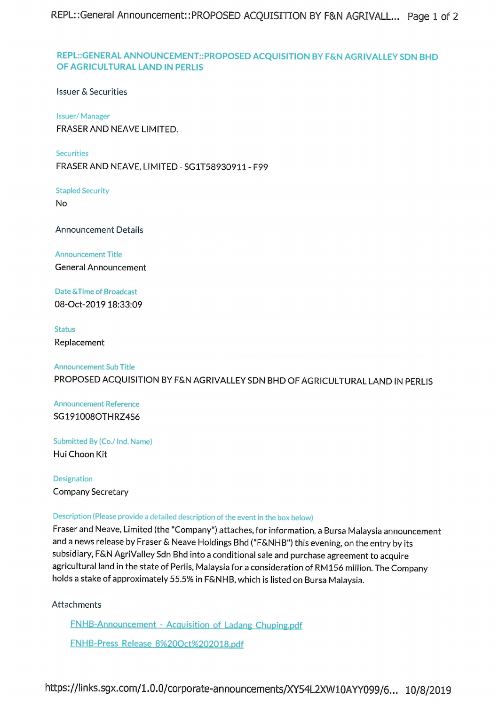# REPL::GENERAL ANNOUNCEMENT::PROPOSED ACQUISITION BY F&N AGRIVALLEY SDN BHD OF AGRICULTURAL LAND IN PERLIS

**Issuer & Securities** 

**Issuer/Manager** FRASER AND NEAVE LIMITED.

Securities FRASER AND NEAVE, LIMITED - SG1T58930911 - F99

**Stapled Security** 

No

**Announcement Details** 

**Announcement Title** 

**General Announcement** 

Date & Time of Broadcast 08-Oct-2019 18:33:09

**Status** 

Replacement

**Announcement Sub Title** PROPOSED ACQUISITION BY F&N AGRIVALLEY SDN BHD OF AGRICULTURAL LAND IN PERLIS

**Announcement Reference** SG191008OTHRZ4S6

Submitted By (Co./ Ind. Name) Hui Choon Kit

Designation **Company Secretary** 

# Description (Please provide a detailed description of the event in the box below)

Fraser and Neave, Limited (the "Company") attaches, for information, a Bursa Malaysia announcement and a news release by Fraser & Neave Holdings Bhd ("F&NHB") this evening, on the entry by its subsidiary, F&N AgriValley Sdn Bhd into a conditional sale and purchase agreement to acquire agricultural land in the state of Perlis, Malaysia for a consideration of RM156 million. The Company holds a stake of approximately 55.5% in F&NHB, which is listed on Bursa Malaysia.

Attachments

**FNHB-Announcement - Acquisition of Ladang Chuping.pdf** 

FNHB-Press Release 8%20Oct%202018.pdf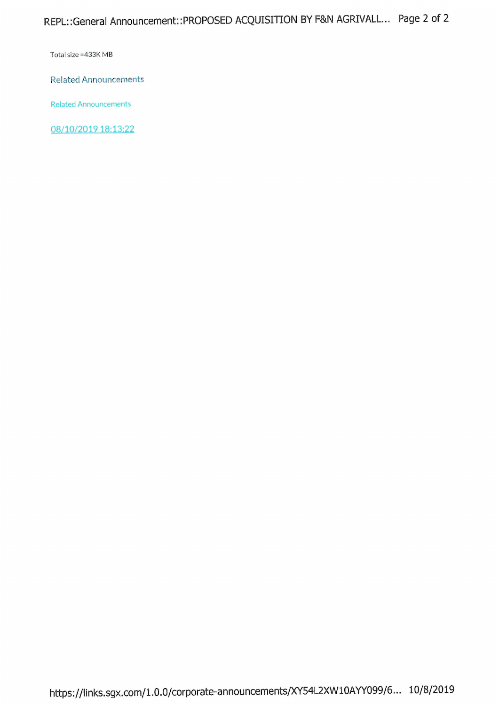Total size = 433K MB

**Related Announcements** 

**Related Announcements** 

08/10/2019 18:13:22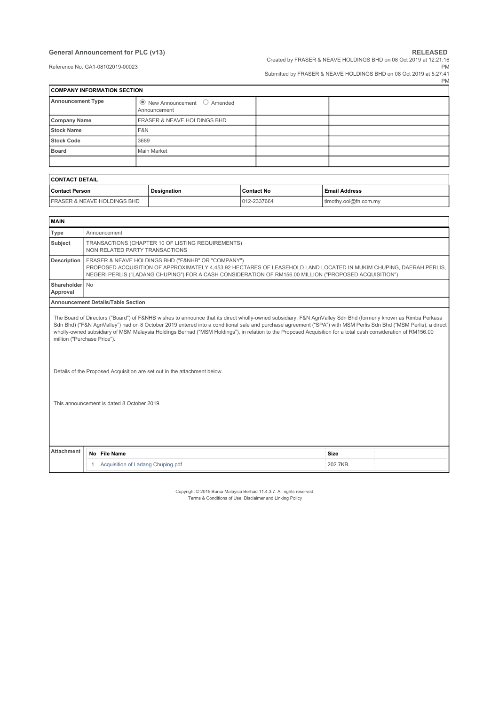#### **General Announcement for PLC (v13) RELEASED RELEASED**

Created by FRASER & NEAVE HOLDINGS BHD on 08 Oct 2019 at 12:21:16

Reference No. GA1-08102019-00023

PM Submitted by FRASER & NEAVE HOLDINGS BHD on 08 Oct 2019 at 5:27:41

|                                    |                                                            | PN |
|------------------------------------|------------------------------------------------------------|----|
| <b>COMPANY INFORMATION SECTION</b> |                                                            |    |
| <b>Announcement Type</b>           | $\bullet$ New Announcement $\circ$ Amended<br>Announcement |    |
| <b>Company Name</b>                | <b>FRASER &amp; NEAVE HOLDINGS BHD</b>                     |    |
| <b>Stock Name</b>                  | F&N                                                        |    |
| <b>Stock Code</b>                  | 3689                                                       |    |
| <b>Board</b>                       | Main Market                                                |    |
|                                    |                                                            |    |

| <b>CONTACT DETAIL</b>                  |             |              |                       |  |  |
|----------------------------------------|-------------|--------------|-----------------------|--|--|
| <b>Contact Person</b>                  | Designation | l Contact No | l Email Address       |  |  |
| <b>FRASER &amp; NEAVE HOLDINGS BHD</b> |             | 012-2337664  | timothy.ooi@fn.com.my |  |  |

| <b>MAIN</b>                 |           |                                                                                                                                                                                                                                                                                                                                                                                                                                                                                                                                                                                                                             |             |  |
|-----------------------------|-----------|-----------------------------------------------------------------------------------------------------------------------------------------------------------------------------------------------------------------------------------------------------------------------------------------------------------------------------------------------------------------------------------------------------------------------------------------------------------------------------------------------------------------------------------------------------------------------------------------------------------------------------|-------------|--|
| Type                        |           | Announcement                                                                                                                                                                                                                                                                                                                                                                                                                                                                                                                                                                                                                |             |  |
| Subject                     |           | TRANSACTIONS (CHAPTER 10 OF LISTING REQUIREMENTS)<br>NON RELATED PARTY TRANSACTIONS                                                                                                                                                                                                                                                                                                                                                                                                                                                                                                                                         |             |  |
| <b>Description</b>          |           | FRASER & NEAVE HOLDINGS BHD ("F&NHB" OR "COMPANY")<br>PROPOSED ACQUISITION OF APPROXIMATELY 4,453.92 HECTARES OF LEASEHOLD LAND LOCATED IN MUKIM CHUPING, DAERAH PERLIS,<br>NEGERI PERLIS ("LADANG CHUPING") FOR A CASH CONSIDERATION OF RM156.00 MILLION ("PROPOSED ACQUISITION")                                                                                                                                                                                                                                                                                                                                          |             |  |
| Shareholder<br>Approval     | <b>No</b> |                                                                                                                                                                                                                                                                                                                                                                                                                                                                                                                                                                                                                             |             |  |
|                             |           | <b>Announcement Details/Table Section</b>                                                                                                                                                                                                                                                                                                                                                                                                                                                                                                                                                                                   |             |  |
| million ("Purchase Price"). |           | The Board of Directors ("Board") of F&NHB wishes to announce that its direct wholly-owned subsidiary, F&N AgriValley Sdn Bhd (formerly known as Rimba Perkasa<br>Sdn Bhd) ("F&N AgriValley") had on 8 October 2019 entered into a conditional sale and purchase agreement ("SPA") with MSM Perlis Sdn Bhd ("MSM Perlis), a direct<br>wholly-owned subsidiary of MSM Malaysia Holdings Berhad ("MSM Holdings"), in relation to the Proposed Acquisition for a total cash consideration of RM156.00<br>Details of the Proposed Acquisition are set out in the attachment below.<br>This announcement is dated 8 October 2019. |             |  |
| <b>Attachment</b>           |           | No File Name                                                                                                                                                                                                                                                                                                                                                                                                                                                                                                                                                                                                                | <b>Size</b> |  |
|                             | 1.        | Acquisition of Ladang Chuping.pdf                                                                                                                                                                                                                                                                                                                                                                                                                                                                                                                                                                                           | 202.7KB     |  |

Copyright © 2015 Bursa Malaysia Berhad 11.4.3.7. All rights reserved. Terms & Conditions of Use, Disclaimer and Linking Policy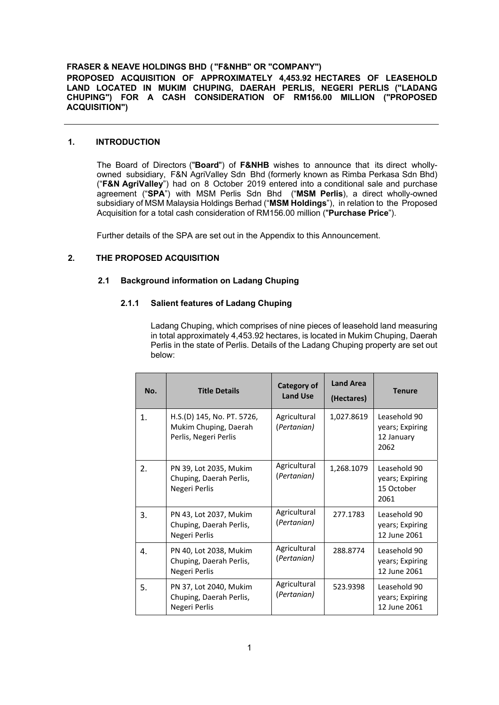#### **FRASER & NEAVE HOLDINGS BHD ( "F&NHB" OR "COMPANY")**

**PROPOSED ACQUISITION OF APPROXIMATELY 4,453.92 HECTARES OF LEASEHOLD LAND LOCATED IN MUKIM CHUPING, DAERAH PERLIS, NEGERI PERLIS ("LADANG CHUPING") FOR A CASH CONSIDERATION OF RM156.00 MILLION ("PROPOSED ACQUISITION")**

#### **1. INTRODUCTION**

The Board of Directors ("**Board**") of **F&NHB** wishes to announce that its direct whollyowned subsidiary, F&N AgriValley Sdn Bhd (formerly known as Rimba Perkasa Sdn Bhd) ("**F&N AgriValley**") had on 8 October 2019 entered into a conditional sale and purchase agreement ("**SPA**") with MSM Perlis Sdn Bhd ("**MSM Perlis**), a direct wholly-owned subsidiary of MSM Malaysia Holdings Berhad ("**MSM Holdings**"), in relation to the Proposed Acquisition for a total cash consideration of RM156.00 million ("**Purchase Price**").

Further details of the SPA are set out in the Appendix to this Announcement.

#### **2. THE PROPOSED ACQUISITION**

### **2.1 Background information on Ladang Chuping**

#### **2.1.1 Salient features of Ladang Chuping**

Ladang Chuping, which comprises of nine pieces of leasehold land measuring in total approximately 4,453.92 hectares, is located in Mukim Chuping, Daerah Perlis in the state of Perlis. Details of the Ladang Chuping property are set out below:

| No.            | <b>Title Details</b>                                                         | Category of<br><b>Land Use</b> | <b>Land Area</b><br>(Hectares) | <b>Tenure</b>                                         |
|----------------|------------------------------------------------------------------------------|--------------------------------|--------------------------------|-------------------------------------------------------|
| 1 <sub>1</sub> | H.S.(D) 145, No. PT. 5726,<br>Mukim Chuping, Daerah<br>Perlis, Negeri Perlis | Agricultural<br>(Pertanian)    | 1,027.8619                     | Leasehold 90<br>years; Expiring<br>12 January<br>2062 |
| 2.             | PN 39, Lot 2035, Mukim<br>Chuping, Daerah Perlis,<br>Negeri Perlis           | Agricultural<br>(Pertanian)    | 1,268.1079                     | Leasehold 90<br>years; Expiring<br>15 October<br>2061 |
| 3.             | PN 43, Lot 2037, Mukim<br>Chuping, Daerah Perlis,<br>Negeri Perlis           | Agricultural<br>(Pertanian)    | 277.1783                       | Leasehold 90<br>years; Expiring<br>12 June 2061       |
| 4.             | PN 40, Lot 2038, Mukim<br>Chuping, Daerah Perlis,<br>Negeri Perlis           | Agricultural<br>(Pertanian)    | 288.8774                       | Leasehold 90<br>years; Expiring<br>12 June 2061       |
| 5.             | PN 37, Lot 2040, Mukim<br>Chuping, Daerah Perlis,<br>Negeri Perlis           | Agricultural<br>(Pertanian)    | 523.9398                       | Leasehold 90<br>years; Expiring<br>12 June 2061       |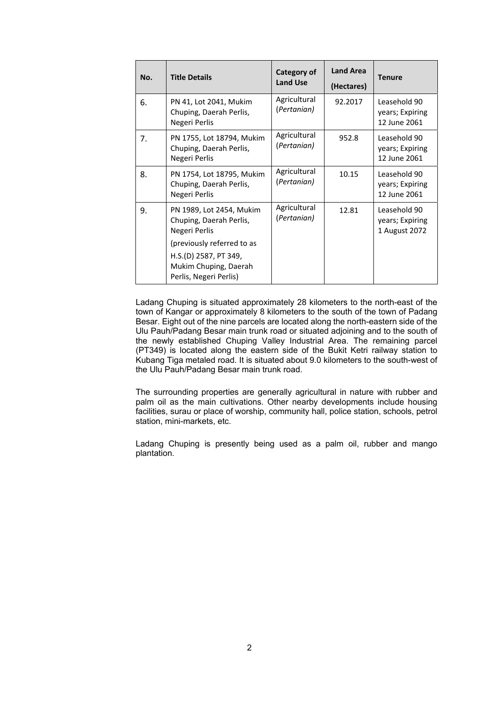| No. | <b>Title Details</b>                                                     | Category of<br><b>Land Use</b> | <b>Land Area</b><br>(Hectares) | <b>Tenure</b>                                    |
|-----|--------------------------------------------------------------------------|--------------------------------|--------------------------------|--------------------------------------------------|
| 6.  | PN 41, Lot 2041, Mukim<br>Chuping, Daerah Perlis,<br>Negeri Perlis       | Agricultural<br>(Pertanian)    | 92.2017                        | Leasehold 90<br>years; Expiring<br>12 June 2061  |
| 7.  | PN 1755, Lot 18794, Mukim<br>Chuping, Daerah Perlis,<br>Negeri Perlis    | Agricultural<br>(Pertanian)    | 952.8                          | Leasehold 90<br>years; Expiring<br>12 June 2061  |
| 8.  | PN 1754, Lot 18795, Mukim<br>Chuping, Daerah Perlis,<br>Negeri Perlis    | Agricultural<br>(Pertanian)    | 10.15                          | Leasehold 90<br>years; Expiring<br>12 June 2061  |
| 9.  | PN 1989, Lot 2454, Mukim<br>Chuping, Daerah Perlis,<br>Negeri Perlis     | Agricultural<br>(Pertanian)    | 12.81                          | Leasehold 90<br>years; Expiring<br>1 August 2072 |
|     | (previously referred to as                                               |                                |                                |                                                  |
|     | H.S.(D) 2587, PT 349,<br>Mukim Chuping, Daerah<br>Perlis, Negeri Perlis) |                                |                                |                                                  |

Ladang Chuping is situated approximately 28 kilometers to the north-east of the town of Kangar or approximately 8 kilometers to the south of the town of Padang Besar. Eight out of the nine parcels are located along the north-eastern side of the Ulu Pauh/Padang Besar main trunk road or situated adjoining and to the south of the newly established Chuping Valley Industrial Area. The remaining parcel (PT349) is located along the eastern side of the Bukit Ketri railway station to Kubang Tiga metaled road. It is situated about 9.0 kilometers to the south-west of the Ulu Pauh/Padang Besar main trunk road.

The surrounding properties are generally agricultural in nature with rubber and palm oil as the main cultivations. Other nearby developments include housing facilities, surau or place of worship, community hall, police station, schools, petrol station, mini-markets, etc.

Ladang Chuping is presently being used as a palm oil, rubber and mango plantation.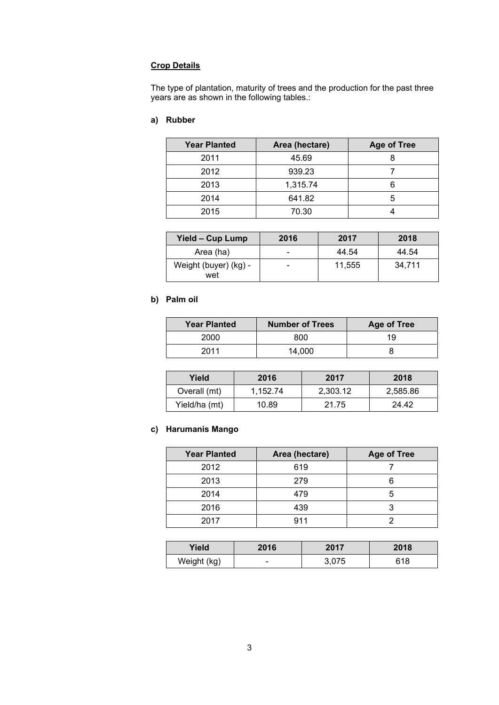# **Crop Details**

The type of plantation, maturity of trees and the production for the past three years are as shown in the following tables.:

# **a) Rubber**

| <b>Year Planted</b> | Area (hectare) | <b>Age of Tree</b> |
|---------------------|----------------|--------------------|
| 2011                | 45.69          |                    |
| 2012                | 939.23         |                    |
| 2013                | 1,315.74       |                    |
| 2014                | 641.82         | 5                  |
| 2015                | 70.30          |                    |

| Yield - Cup Lump             | 2016 | 2017   | 2018   |
|------------------------------|------|--------|--------|
| Area (ha)                    | -    | 44.54  | 44.54  |
| Weight (buyer) (kg) -<br>wet | -    | 11.555 | 34.711 |

# **b) Palm oil**

| <b>Year Planted</b> | <b>Number of Trees</b> | <b>Age of Tree</b> |
|---------------------|------------------------|--------------------|
| 2000                | 800                    | 19                 |
| 2011                | 14.000                 |                    |

| Yield         | 2016     | 2017     | 2018     |
|---------------|----------|----------|----------|
| Overall (mt)  | 1.152.74 | 2,303.12 | 2,585.86 |
| Yield/ha (mt) | 10.89    | 21.75    | 24.42    |

# **c) Harumanis Mango**

| <b>Year Planted</b> | Area (hectare) | <b>Age of Tree</b> |
|---------------------|----------------|--------------------|
| 2012                | 619            |                    |
| 2013                | 279            |                    |
| 2014                | 479            | h                  |
| 2016                | 439            |                    |
| 2017                | 911            |                    |

| Yield       | 2016 | 2017  | 2018 |
|-------------|------|-------|------|
| Weight (kg) | -    | 3,075 | 618  |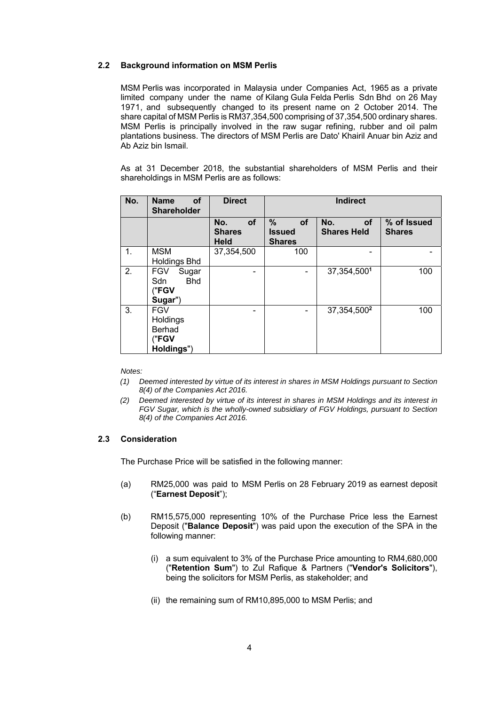#### **2.2 Background information on MSM Perlis**

MSM Perlis was incorporated in Malaysia under Companies Act, 1965 as a private limited company under the name of Kilang Gula Felda Perlis Sdn Bhd on 26 May 1971, and subsequently changed to its present name on 2 October 2014. The share capital of MSM Perlis is RM37,354,500 comprising of 37,354,500 ordinary shares. MSM Perlis is principally involved in the raw sugar refining, rubber and oil palm plantations business. The directors of MSM Perlis are Dato' Khairil Anuar bin Aziz and Ab Aziz bin Ismail.

As at 31 December 2018, the substantial shareholders of MSM Perlis and their shareholdings in MSM Perlis are as follows:

| No. | <b>of</b><br><b>Name</b><br><b>Shareholder</b>                | <b>Direct</b>                                    | <b>Indirect</b>                                  |                                        |                              |
|-----|---------------------------------------------------------------|--------------------------------------------------|--------------------------------------------------|----------------------------------------|------------------------------|
|     |                                                               | <b>of</b><br>No.<br><b>Shares</b><br><b>Held</b> | %<br><b>of</b><br><b>Issued</b><br><b>Shares</b> | No.<br><b>of</b><br><b>Shares Held</b> | % of Issued<br><b>Shares</b> |
| 1.  | <b>MSM</b><br><b>Holdings Bhd</b>                             | 37,354,500                                       | 100                                              |                                        |                              |
| 2.  | <b>FGV</b><br>Sugar<br><b>Bhd</b><br>Sdn<br>("FGV<br>Sugar")  |                                                  |                                                  | 37, 354, 5001                          | 100                          |
| 3.  | <b>FGV</b><br>Holdings<br><b>Berhad</b><br>"FGV<br>Holdings") |                                                  |                                                  | 37, 354, 500 <sup>2</sup>              | 100                          |

*Notes:* 

- *(1) Deemed interested by virtue of its interest in shares in MSM Holdings pursuant to Section 8(4) of the Companies Act 2016.*
- *(2) Deemed interested by virtue of its interest in shares in MSM Holdings and its interest in FGV Sugar, which is the wholly-owned subsidiary of FGV Holdings, pursuant to Section 8(4) of the Companies Act 2016.*

#### **2.3 Consideration**

The Purchase Price will be satisfied in the following manner:

- (a) RM25,000 was paid to MSM Perlis on 28 February 2019 as earnest deposit ("**Earnest Deposit**");
- (b) RM15,575,000 representing 10% of the Purchase Price less the Earnest Deposit ("**Balance Deposit**") was paid upon the execution of the SPA in the following manner:
	- (i) a sum equivalent to 3% of the Purchase Price amounting to RM4,680,000 ("**Retention Sum**") to Zul Rafique & Partners ("**Vendor's Solicitors**"), being the solicitors for MSM Perlis, as stakeholder; and
	- (ii) the remaining sum of RM10,895,000 to MSM Perlis; and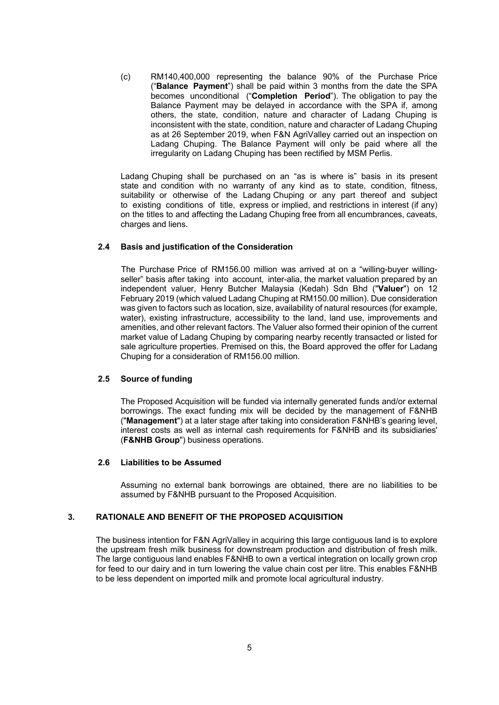(c) RM140,400,000 representing the balance 90% of the Purchase Price ("**Balance Payment**") shall be paid within 3 months from the date the SPA becomes unconditional ("**Completion Period**"). The obligation to pay the Balance Payment may be delayed in accordance with the SPA if, among others, the state, condition, nature and character of Ladang Chuping is inconsistent with the state, condition, nature and character of Ladang Chuping as at 26 September 2019, when F&N AgriValley carried out an inspection on Ladang Chuping. The Balance Payment will only be paid where all the irregularity on Ladang Chuping has been rectified by MSM Perlis.

Ladang Chuping shall be purchased on an "as is where is" basis in its present state and condition with no warranty of any kind as to state, condition, fitness, suitability or otherwise of the Ladang Chuping or any part thereof and subject to existing conditions of title, express or implied, and restrictions in interest (if any) on the titles to and affecting the Ladang Chuping free from all encumbrances, caveats, charges and liens.

#### **2.4 Basis and justification of the Consideration**

The Purchase Price of RM156.00 million was arrived at on a "willing-buyer willingseller" basis after taking into account, inter-alia, the market valuation prepared by an independent valuer, Henry Butcher Malaysia (Kedah) Sdn Bhd ("**Valuer**") on 12 February 2019 (which valued Ladang Chuping at RM150.00 million). Due consideration was given to factors such as location, size, availability of natural resources (for example, water), existing infrastructure, accessibility to the land, land use, improvements and amenities, and other relevant factors. The Valuer also formed their opinion of the current market value of Ladang Chuping by comparing nearby recently transacted or listed for sale agriculture properties. Premised on this, the Board approved the offer for Ladang Chuping for a consideration of RM156.00 million.

#### **2.5 Source of funding**

The Proposed Acquisition will be funded via internally generated funds and/or external borrowings. The exact funding mix will be decided by the management of F&NHB ("**Management**") at a later stage after taking into consideration F&NHB's gearing level, interest costs as well as internal cash requirements for F&NHB and its subsidiaries' (**F&NHB Group**") business operations.

#### **2.6 Liabilities to be Assumed**

Assuming no external bank borrowings are obtained, there are no liabilities to be assumed by F&NHB pursuant to the Proposed Acquisition.

#### **3. RATIONALE AND BENEFIT OF THE PROPOSED ACQUISITION**

The business intention for F&N AgriValley in acquiring this large contiguous land is to explore the upstream fresh milk business for downstream production and distribution of fresh milk. The large contiguous land enables F&NHB to own a vertical integration on locally grown crop for feed to our dairy and in turn lowering the value chain cost per litre. This enables F&NHB to be less dependent on imported milk and promote local agricultural industry.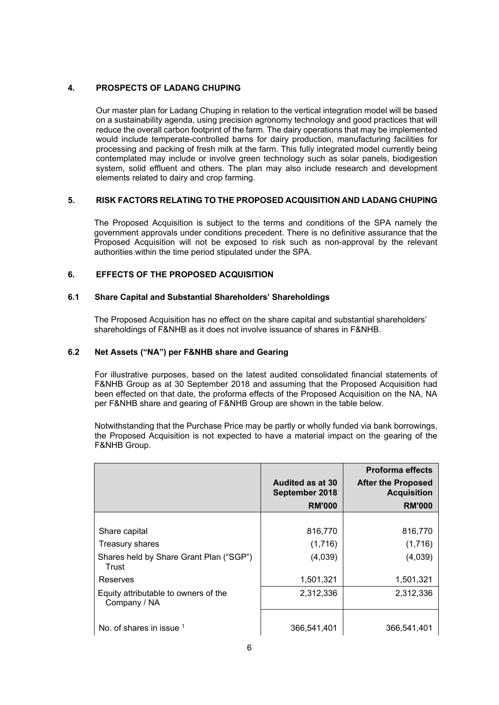#### **4. PROSPECTS OF LADANG CHUPING**

Our master plan for Ladang Chuping in relation to the vertical integration model will be based on a sustainability agenda, using precision agronomy technology and good practices that will reduce the overall carbon footprint of the farm. The dairy operations that may be implemented would include temperate-controlled barns for dairy production, manufacturing facilities for processing and packing of fresh milk at the farm. This fully integrated model currently being contemplated may include or involve green technology such as solar panels, biodigestion system, solid effluent and others. The plan may also include research and development elements related to dairy and crop farming.

#### **5. RISK FACTORS RELATING TO THE PROPOSED ACQUISITION AND LADANG CHUPING**

The Proposed Acquisition is subject to the terms and conditions of the SPA namely the government approvals under conditions precedent. There is no definitive assurance that the Proposed Acquisition will not be exposed to risk such as non-approval by the relevant authorities within the time period stipulated under the SPA.

#### **6. EFFECTS OF THE PROPOSED ACQUISITION**

#### **6.1 Share Capital and Substantial Shareholders' Shareholdings**

The Proposed Acquisition has no effect on the share capital and substantial shareholders' shareholdings of F&NHB as it does not involve issuance of shares in F&NHB.

### **6.2 Net Assets ("NA") per F&NHB share and Gearing**

 For illustrative purposes, based on the latest audited consolidated financial statements of F&NHB Group as at 30 September 2018 and assuming that the Proposed Acquisition had been effected on that date, the proforma effects of the Proposed Acquisition on the NA, NA per F&NHB share and gearing of F&NHB Group are shown in the table below.

 Notwithstanding that the Purchase Price may be partly or wholly funded via bank borrowings, the Proposed Acquisition is not expected to have a material impact on the gearing of the F&NHB Group.

|                                                      |                                    | <b>Proforma effects</b>                         |
|------------------------------------------------------|------------------------------------|-------------------------------------------------|
|                                                      | Audited as at 30<br>September 2018 | <b>After the Proposed</b><br><b>Acquisition</b> |
|                                                      | <b>RM'000</b>                      | <b>RM'000</b>                                   |
|                                                      |                                    |                                                 |
| Share capital                                        | 816,770                            | 816,770                                         |
| Treasury shares                                      | (1,716)                            | (1,716)                                         |
| Shares held by Share Grant Plan ("SGP")<br>Trust     | (4,039)                            | (4,039)                                         |
| Reserves                                             | 1,501,321                          | 1,501,321                                       |
| Equity attributable to owners of the<br>Company / NA | 2,312,336                          | 2,312,336                                       |
|                                                      |                                    |                                                 |
| No. of shares in issue $1$                           | 366,541,401                        | 366,541,401                                     |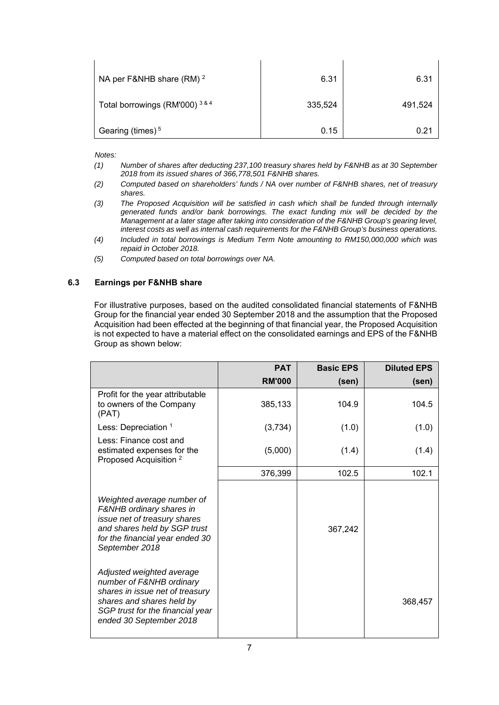| NA per F&NHB share $(RM)^2$                  | 6.31    | 6.31    |
|----------------------------------------------|---------|---------|
| Total borrowings (RM'000) <sup>3&amp;4</sup> | 335,524 | 491,524 |
| Gearing (times) $5$                          | 0.15    | 0.21    |

*Notes:* 

- *(1) Number of shares after deducting 237,100 treasury shares held by F&NHB as at 30 September 2018 from its issued shares of 366,778,501 F&NHB shares.*
- *(2) Computed based on shareholders' funds / NA over number of F&NHB shares, net of treasury shares.*
- *(3) The Proposed Acquisition will be satisfied in cash which shall be funded through internally generated funds and/or bank borrowings. The exact funding mix will be decided by the Management at a later stage after taking into consideration of the F&NHB Group's gearing level, interest costs as well as internal cash requirements for the F&NHB Group's business operations.*
- *(4) Included in total borrowings is Medium Term Note amounting to RM150,000,000 which was repaid in October 2018.*
- *(5) Computed based on total borrowings over NA.*

#### **6.3 Earnings per F&NHB share**

For illustrative purposes, based on the audited consolidated financial statements of F&NHB Group for the financial year ended 30 September 2018 and the assumption that the Proposed Acquisition had been effected at the beginning of that financial year, the Proposed Acquisition is not expected to have a material effect on the consolidated earnings and EPS of the F&NHB Group as shown below:

|                                                                                                                                                                                      | <b>PAT</b>    | <b>Basic EPS</b> | <b>Diluted EPS</b> |
|--------------------------------------------------------------------------------------------------------------------------------------------------------------------------------------|---------------|------------------|--------------------|
|                                                                                                                                                                                      | <b>RM'000</b> | (sen)            | (sen)              |
| Profit for the year attributable<br>to owners of the Company<br>(PAT)                                                                                                                | 385,133       | 104.9            | 104.5              |
| Less: Depreciation 1                                                                                                                                                                 | (3,734)       | (1.0)            | (1.0)              |
| Less: Finance cost and<br>estimated expenses for the<br>Proposed Acquisition <sup>2</sup>                                                                                            | (5,000)       | (1.4)            | (1.4)              |
|                                                                                                                                                                                      | 376,399       | 102.5            | 102.1              |
| Weighted average number of<br>F&NHB ordinary shares in<br>issue net of treasury shares<br>and shares held by SGP trust<br>for the financial year ended 30<br>September 2018          |               | 367,242          |                    |
| Adjusted weighted average<br>number of F&NHB ordinary<br>shares in issue net of treasury<br>shares and shares held by<br>SGP trust for the financial year<br>ended 30 September 2018 |               |                  | 368,457            |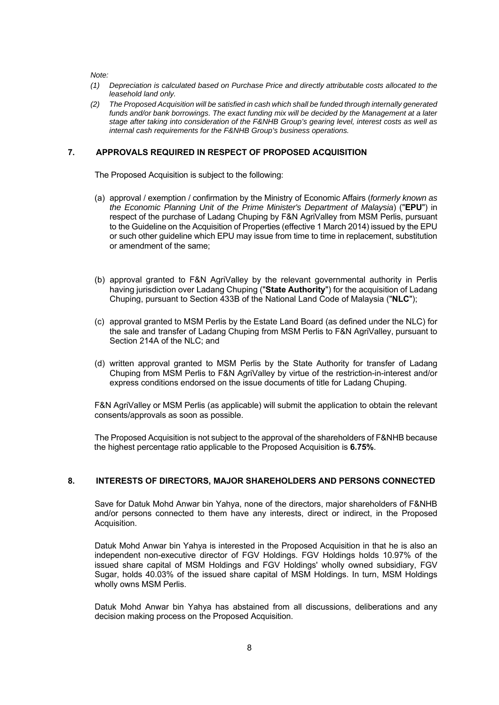*Note:* 

- *(1) Depreciation is calculated based on Purchase Price and directly attributable costs allocated to the leasehold land only.*
- *(2) The Proposed Acquisition will be satisfied in cash which shall be funded through internally generated funds and/or bank borrowings. The exact funding mix will be decided by the Management at a later stage after taking into consideration of the F&NHB Group's gearing level, interest costs as well as internal cash requirements for the F&NHB Group's business operations.*

#### **7. APPROVALS REQUIRED IN RESPECT OF PROPOSED ACQUISITION**

The Proposed Acquisition is subject to the following:

- (a) approval / exemption / confirmation by the Ministry of Economic Affairs (*formerly known as the Economic Planning Unit of the Prime Minister's Department of Malaysia*) ("**EPU**") in respect of the purchase of Ladang Chuping by F&N AgriValley from MSM Perlis, pursuant to the Guideline on the Acquisition of Properties (effective 1 March 2014) issued by the EPU or such other guideline which EPU may issue from time to time in replacement, substitution or amendment of the same;
- (b) approval granted to F&N AgriValley by the relevant governmental authority in Perlis having jurisdiction over Ladang Chuping ("**State Authority**") for the acquisition of Ladang Chuping, pursuant to Section 433B of the National Land Code of Malaysia ("**NLC**");
- (c) approval granted to MSM Perlis by the Estate Land Board (as defined under the NLC) for the sale and transfer of Ladang Chuping from MSM Perlis to F&N AgriValley, pursuant to Section 214A of the NLC; and
- (d) written approval granted to MSM Perlis by the State Authority for transfer of Ladang Chuping from MSM Perlis to F&N AgriValley by virtue of the restriction-in-interest and/or express conditions endorsed on the issue documents of title for Ladang Chuping.

F&N AgriValley or MSM Perlis (as applicable) will submit the application to obtain the relevant consents/approvals as soon as possible.

The Proposed Acquisition is not subject to the approval of the shareholders of F&NHB because the highest percentage ratio applicable to the Proposed Acquisition is **6.75%**.

#### **8. INTERESTS OF DIRECTORS, MAJOR SHAREHOLDERS AND PERSONS CONNECTED**

Save for Datuk Mohd Anwar bin Yahya, none of the directors, major shareholders of F&NHB and/or persons connected to them have any interests, direct or indirect, in the Proposed Acquisition.

Datuk Mohd Anwar bin Yahya is interested in the Proposed Acquisition in that he is also an independent non-executive director of FGV Holdings. FGV Holdings holds 10.97% of the issued share capital of MSM Holdings and FGV Holdings' wholly owned subsidiary, FGV Sugar, holds 40.03% of the issued share capital of MSM Holdings. In turn, MSM Holdings wholly owns MSM Perlis.

Datuk Mohd Anwar bin Yahya has abstained from all discussions, deliberations and any decision making process on the Proposed Acquisition.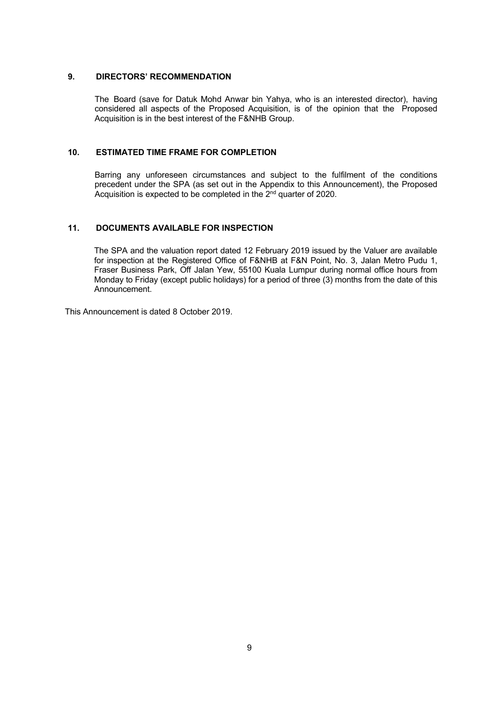#### **9. DIRECTORS' RECOMMENDATION**

The Board (save for Datuk Mohd Anwar bin Yahya, who is an interested director), having considered all aspects of the Proposed Acquisition, is of the opinion that the Proposed Acquisition is in the best interest of the F&NHB Group.

### **10. ESTIMATED TIME FRAME FOR COMPLETION**

Barring any unforeseen circumstances and subject to the fulfilment of the conditions precedent under the SPA (as set out in the Appendix to this Announcement), the Proposed Acquisition is expected to be completed in the  $2<sup>nd</sup>$  quarter of 2020.

#### **11. DOCUMENTS AVAILABLE FOR INSPECTION**

The SPA and the valuation report dated 12 February 2019 issued by the Valuer are available for inspection at the Registered Office of F&NHB at F&N Point, No. 3, Jalan Metro Pudu 1, Fraser Business Park, Off Jalan Yew, 55100 Kuala Lumpur during normal office hours from Monday to Friday (except public holidays) for a period of three (3) months from the date of this Announcement.

This Announcement is dated 8 October 2019.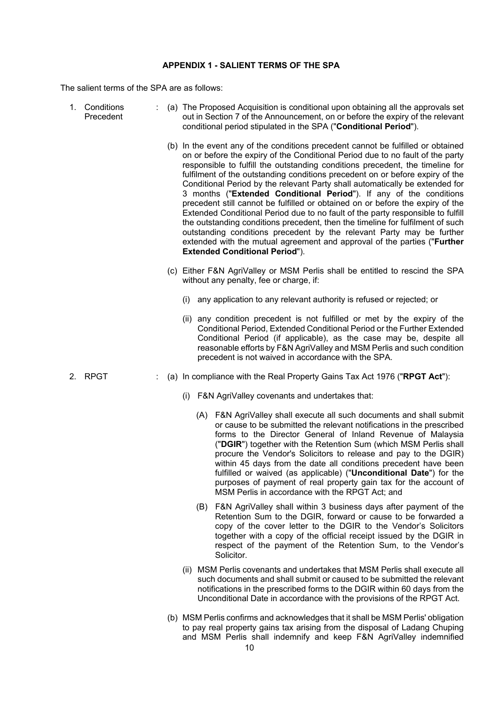#### **APPENDIX 1 - SALIENT TERMS OF THE SPA**

The salient terms of the SPA are as follows:

| 1. Conditions<br>Precedent |  |     | (a) The Proposed Acquisition is conditional upon obtaining all the approvals set<br>out in Section 7 of the Announcement, on or before the expiry of the relevant<br>conditional period stipulated in the SPA ("Conditional Period").                                                                                                                                                                                                                                                                                                                                                                                                                                                                                                                                                                                                                                                                                                           |
|----------------------------|--|-----|-------------------------------------------------------------------------------------------------------------------------------------------------------------------------------------------------------------------------------------------------------------------------------------------------------------------------------------------------------------------------------------------------------------------------------------------------------------------------------------------------------------------------------------------------------------------------------------------------------------------------------------------------------------------------------------------------------------------------------------------------------------------------------------------------------------------------------------------------------------------------------------------------------------------------------------------------|
|                            |  |     | (b) In the event any of the conditions precedent cannot be fulfilled or obtained<br>on or before the expiry of the Conditional Period due to no fault of the party<br>responsible to fulfill the outstanding conditions precedent, the timeline for<br>fulfilment of the outstanding conditions precedent on or before expiry of the<br>Conditional Period by the relevant Party shall automatically be extended for<br>3 months ("Extended Conditional Period"). If any of the conditions<br>precedent still cannot be fulfilled or obtained on or before the expiry of the<br>Extended Conditional Period due to no fault of the party responsible to fulfill<br>the outstanding conditions precedent, then the timeline for fulfilment of such<br>outstanding conditions precedent by the relevant Party may be further<br>extended with the mutual agreement and approval of the parties ("Further<br><b>Extended Conditional Period").</b> |
|                            |  |     | (c) Either F&N AgriValley or MSM Perlis shall be entitled to rescind the SPA<br>without any penalty, fee or charge, if:                                                                                                                                                                                                                                                                                                                                                                                                                                                                                                                                                                                                                                                                                                                                                                                                                         |
|                            |  | (i) | any application to any relevant authority is refused or rejected; or                                                                                                                                                                                                                                                                                                                                                                                                                                                                                                                                                                                                                                                                                                                                                                                                                                                                            |
|                            |  |     | (ii) any condition precedent is not fulfilled or met by the expiry of the<br>Conditional Period, Extended Conditional Period or the Further Extended<br>Conditional Period (if applicable), as the case may be, despite all<br>reasonable efforts by F&N AgriValley and MSM Perlis and such condition<br>precedent is not waived in accordance with the SPA.                                                                                                                                                                                                                                                                                                                                                                                                                                                                                                                                                                                    |
| 2. RPGT                    |  |     | (a) In compliance with the Real Property Gains Tax Act 1976 ("RPGT Act"):                                                                                                                                                                                                                                                                                                                                                                                                                                                                                                                                                                                                                                                                                                                                                                                                                                                                       |
|                            |  | (i) | F&N AgriValley covenants and undertakes that:                                                                                                                                                                                                                                                                                                                                                                                                                                                                                                                                                                                                                                                                                                                                                                                                                                                                                                   |
|                            |  |     | (A) F&N AgriValley shall execute all such documents and shall submit<br>or cause to be submitted the relevant notifications in the prescribed<br>forms to the Director General of Inland Revenue of Malaysia<br>("DGIR") together with the Retention Sum (which MSM Perlis shall<br>procure the Vendor's Solicitors to release and pay to the DGIR)<br>within 45 days from the date all conditions precedent have been<br>fulfilled or waived (as applicable) ("Unconditional Date") for the<br>purposes of payment of real property gain tax for the account of<br>MSM Perlis in accordance with the RPGT Act; and                                                                                                                                                                                                                                                                                                                             |
|                            |  | (B) | F&N AgriValley shall within 3 business days after payment of the<br>Retention Sum to the DGIR, forward or cause to be forwarded a<br>copy of the cover letter to the DGIR to the Vendor's Solicitors<br>together with a copy of the official receipt issued by the DGIR in<br>respect of the payment of the Retention Sum, to the Vendor's                                                                                                                                                                                                                                                                                                                                                                                                                                                                                                                                                                                                      |

- (ii) MSM Perlis covenants and undertakes that MSM Perlis shall execute all such documents and shall submit or caused to be submitted the relevant notifications in the prescribed forms to the DGIR within 60 days from the Unconditional Date in accordance with the provisions of the RPGT Act.
- (b) MSM Perlis confirms and acknowledges that it shall be MSM Perlis' obligation to pay real property gains tax arising from the disposal of Ladang Chuping and MSM Perlis shall indemnify and keep F&N AgriValley indemnified

Solicitor.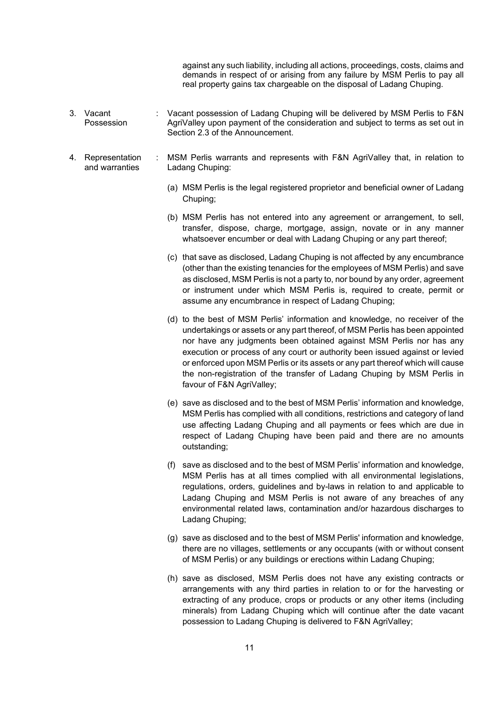against any such liability, including all actions, proceedings, costs, claims and demands in respect of or arising from any failure by MSM Perlis to pay all real property gains tax chargeable on the disposal of Ladang Chuping.

- 3. Vacant Possession : Vacant possession of Ladang Chuping will be delivered by MSM Perlis to F&N AgriValley upon payment of the consideration and subject to terms as set out in Section 2.3 of the Announcement.
- 4. Representation and warranties : MSM Perlis warrants and represents with F&N AgriValley that, in relation to Ladang Chuping:
	- (a) MSM Perlis is the legal registered proprietor and beneficial owner of Ladang Chuping;
	- (b) MSM Perlis has not entered into any agreement or arrangement, to sell, transfer, dispose, charge, mortgage, assign, novate or in any manner whatsoever encumber or deal with Ladang Chuping or any part thereof;
	- (c) that save as disclosed, Ladang Chuping is not affected by any encumbrance (other than the existing tenancies for the employees of MSM Perlis) and save as disclosed, MSM Perlis is not a party to, nor bound by any order, agreement or instrument under which MSM Perlis is, required to create, permit or assume any encumbrance in respect of Ladang Chuping;
	- (d) to the best of MSM Perlis' information and knowledge, no receiver of the undertakings or assets or any part thereof, of MSM Perlis has been appointed nor have any judgments been obtained against MSM Perlis nor has any execution or process of any court or authority been issued against or levied or enforced upon MSM Perlis or its assets or any part thereof which will cause the non-registration of the transfer of Ladang Chuping by MSM Perlis in favour of F&N AgriValley;
	- (e) save as disclosed and to the best of MSM Perlis' information and knowledge, MSM Perlis has complied with all conditions, restrictions and category of land use affecting Ladang Chuping and all payments or fees which are due in respect of Ladang Chuping have been paid and there are no amounts outstanding;
	- (f) save as disclosed and to the best of MSM Perlis' information and knowledge, MSM Perlis has at all times complied with all environmental legislations, regulations, orders, guidelines and by-laws in relation to and applicable to Ladang Chuping and MSM Perlis is not aware of any breaches of any environmental related laws, contamination and/or hazardous discharges to Ladang Chuping;
	- (g) save as disclosed and to the best of MSM Perlis' information and knowledge, there are no villages, settlements or any occupants (with or without consent of MSM Perlis) or any buildings or erections within Ladang Chuping;
	- (h) save as disclosed, MSM Perlis does not have any existing contracts or arrangements with any third parties in relation to or for the harvesting or extracting of any produce, crops or products or any other items (including minerals) from Ladang Chuping which will continue after the date vacant possession to Ladang Chuping is delivered to F&N AgriValley;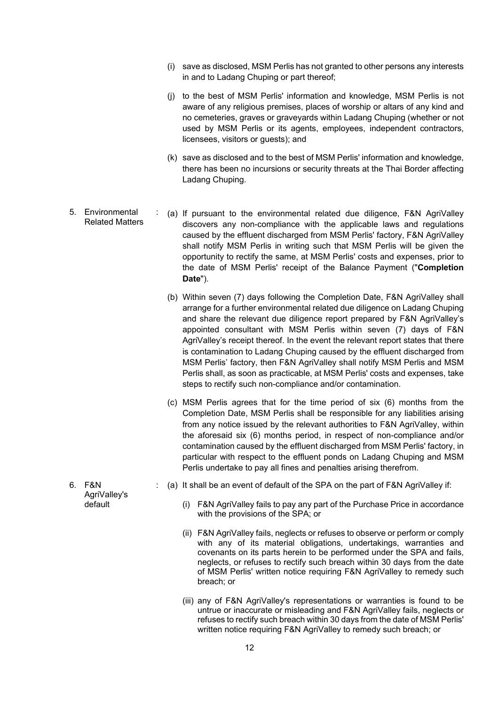- (i) save as disclosed, MSM Perlis has not granted to other persons any interests in and to Ladang Chuping or part thereof;
- (j) to the best of MSM Perlis' information and knowledge, MSM Perlis is not aware of any religious premises, places of worship or altars of any kind and no cemeteries, graves or graveyards within Ladang Chuping (whether or not used by MSM Perlis or its agents, employees, independent contractors, licensees, visitors or guests); and
- (k) save as disclosed and to the best of MSM Perlis' information and knowledge, there has been no incursions or security threats at the Thai Border affecting Ladang Chuping.
- 5. Environmental Related Matters : (a) If pursuant to the environmental related due diligence, F&N AgriValley discovers any non-compliance with the applicable laws and regulations caused by the effluent discharged from MSM Perlis' factory, F&N AgriValley shall notify MSM Perlis in writing such that MSM Perlis will be given the opportunity to rectify the same, at MSM Perlis' costs and expenses, prior to the date of MSM Perlis' receipt of the Balance Payment ("**Completion Date**").
	- (b) Within seven (7) days following the Completion Date, F&N AgriValley shall arrange for a further environmental related due diligence on Ladang Chuping and share the relevant due diligence report prepared by F&N AgriValley's appointed consultant with MSM Perlis within seven (7) days of F&N AgriValley's receipt thereof. In the event the relevant report states that there is contamination to Ladang Chuping caused by the effluent discharged from MSM Perlis' factory, then F&N AgriValley shall notify MSM Perlis and MSM Perlis shall, as soon as practicable, at MSM Perlis' costs and expenses, take steps to rectify such non-compliance and/or contamination.
	- (c) MSM Perlis agrees that for the time period of six (6) months from the Completion Date, MSM Perlis shall be responsible for any liabilities arising from any notice issued by the relevant authorities to F&N AgriValley, within the aforesaid six (6) months period, in respect of non-compliance and/or contamination caused by the effluent discharged from MSM Perlis' factory, in particular with respect to the effluent ponds on Ladang Chuping and MSM Perlis undertake to pay all fines and penalties arising therefrom.
	- : (a) It shall be an event of default of the SPA on the part of F&N AgriValley if:
		- (i) F&N AgriValley fails to pay any part of the Purchase Price in accordance with the provisions of the SPA; or
		- (ii) F&N AgriValley fails, neglects or refuses to observe or perform or comply with any of its material obligations, undertakings, warranties and covenants on its parts herein to be performed under the SPA and fails, neglects, or refuses to rectify such breach within 30 days from the date of MSM Perlis' written notice requiring F&N AgriValley to remedy such breach; or
		- (iii) any of F&N AgriValley's representations or warranties is found to be untrue or inaccurate or misleading and F&N AgriValley fails, neglects or refuses to rectify such breach within 30 days from the date of MSM Perlis' written notice requiring F&N AgriValley to remedy such breach; or

6. F&N AgriValley's default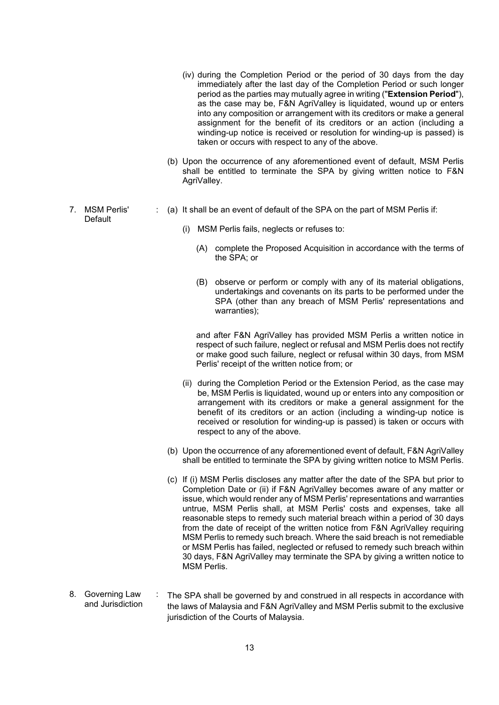- (iv) during the Completion Period or the period of 30 days from the day immediately after the last day of the Completion Period or such longer period as the parties may mutually agree in writing ("**Extension Period**"), as the case may be, F&N AgriValley is liquidated, wound up or enters into any composition or arrangement with its creditors or make a general assignment for the benefit of its creditors or an action (including a winding-up notice is received or resolution for winding-up is passed) is taken or occurs with respect to any of the above.
- (b) Upon the occurrence of any aforementioned event of default, MSM Perlis shall be entitled to terminate the SPA by giving written notice to F&N AgriValley.
- : (a) It shall be an event of default of the SPA on the part of MSM Perlis if:
	- (i) MSM Perlis fails, neglects or refuses to:

7. MSM Perlis' Default

- (A) complete the Proposed Acquisition in accordance with the terms of the SPA; or
- (B) observe or perform or comply with any of its material obligations, undertakings and covenants on its parts to be performed under the SPA (other than any breach of MSM Perlis' representations and warranties);

and after F&N AgriValley has provided MSM Perlis a written notice in respect of such failure, neglect or refusal and MSM Perlis does not rectify or make good such failure, neglect or refusal within 30 days, from MSM Perlis' receipt of the written notice from; or

- (ii) during the Completion Period or the Extension Period, as the case may be, MSM Perlis is liquidated, wound up or enters into any composition or arrangement with its creditors or make a general assignment for the benefit of its creditors or an action (including a winding-up notice is received or resolution for winding-up is passed) is taken or occurs with respect to any of the above.
- (b) Upon the occurrence of any aforementioned event of default, F&N AgriValley shall be entitled to terminate the SPA by giving written notice to MSM Perlis.
- (c) If (i) MSM Perlis discloses any matter after the date of the SPA but prior to Completion Date or (ii) if F&N AgriValley becomes aware of any matter or issue, which would render any of MSM Perlis' representations and warranties untrue, MSM Perlis shall, at MSM Perlis' costs and expenses, take all reasonable steps to remedy such material breach within a period of 30 days from the date of receipt of the written notice from F&N AgriValley requiring MSM Perlis to remedy such breach. Where the said breach is not remediable or MSM Perlis has failed, neglected or refused to remedy such breach within 30 days, F&N AgriValley may terminate the SPA by giving a written notice to MSM Perlis.
- 8. Governing Law and Jurisdiction : The SPA shall be governed by and construed in all respects in accordance with the laws of Malaysia and F&N AgriValley and MSM Perlis submit to the exclusive jurisdiction of the Courts of Malaysia.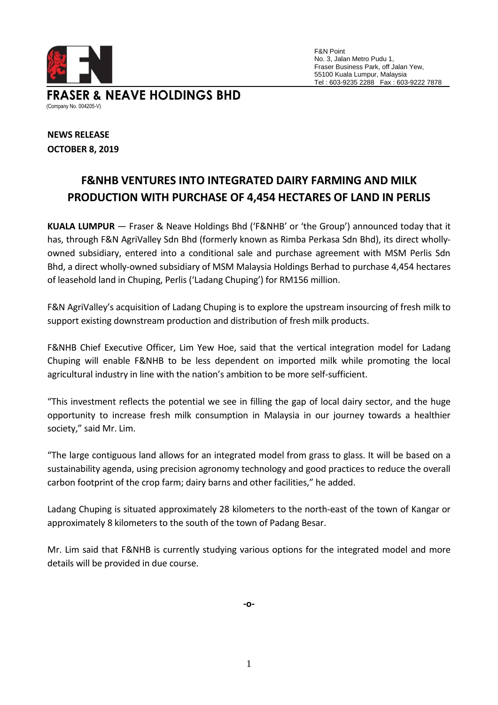

F&N Point No. 3, Jalan Metro Pudu 1, Fraser Business Park, off Jalan Yew, 55100 Kuala Lumpur, Malaysia Tel : 603-9235 2288 Fax : 603-9222 7878

**FRASER & NEAVE HOLDINGS BHD** (Company No. 004205-V)

**NEWS RELEASE OCTOBER 8, 2019**

# **F&NHB VENTURES INTO INTEGRATED DAIRY FARMING AND MILK PRODUCTION WITH PURCHASE OF 4,454 HECTARES OF LAND IN PERLIS**

**KUALA LUMPUR** — Fraser & Neave Holdings Bhd ('F&NHB' or 'the Group') announced today that it has, through F&N AgriValley Sdn Bhd (formerly known as Rimba Perkasa Sdn Bhd), its direct whollyowned subsidiary, entered into a conditional sale and purchase agreement with MSM Perlis Sdn Bhd, a direct wholly-owned subsidiary of MSM Malaysia Holdings Berhad to purchase 4,454 hectares of leasehold land in Chuping, Perlis ('Ladang Chuping') for RM156 million.

F&N AgriValley's acquisition of Ladang Chuping is to explore the upstream insourcing of fresh milk to support existing downstream production and distribution of fresh milk products.

F&NHB Chief Executive Officer, Lim Yew Hoe, said that the vertical integration model for Ladang Chuping will enable F&NHB to be less dependent on imported milk while promoting the local agricultural industry in line with the nation's ambition to be more self-sufficient.

"This investment reflects the potential we see in filling the gap of local dairy sector, and the huge opportunity to increase fresh milk consumption in Malaysia in our journey towards a healthier society," said Mr. Lim.

"The large contiguous land allows for an integrated model from grass to glass. It will be based on a sustainability agenda, using precision agronomy technology and good practices to reduce the overall carbon footprint of the crop farm; dairy barns and other facilities," he added.

Ladang Chuping is situated approximately 28 kilometers to the north-east of the town of Kangar or approximately 8 kilometers to the south of the town of Padang Besar.

Mr. Lim said that F&NHB is currently studying various options for the integrated model and more details will be provided in due course.

**-o-**